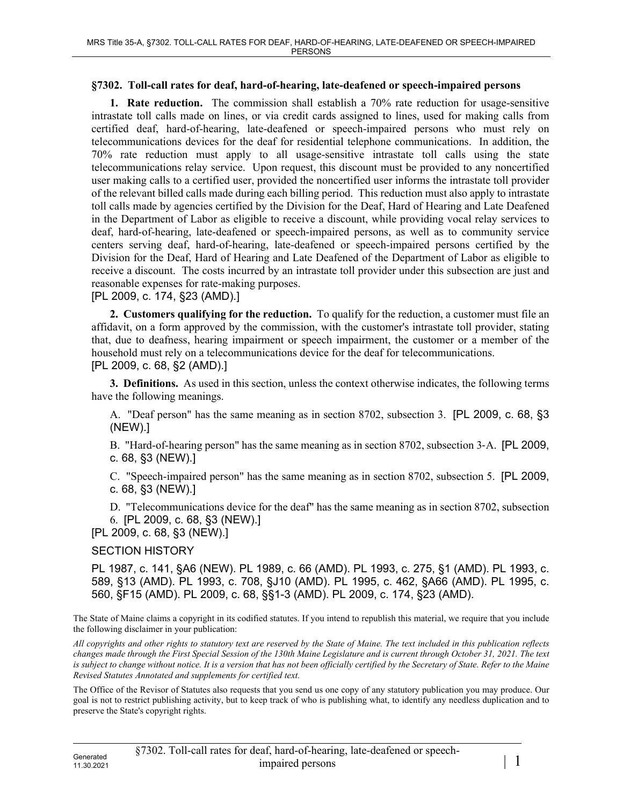## **§7302. Toll-call rates for deaf, hard-of-hearing, late-deafened or speech-impaired persons**

**1. Rate reduction.** The commission shall establish a 70% rate reduction for usage-sensitive intrastate toll calls made on lines, or via credit cards assigned to lines, used for making calls from certified deaf, hard-of-hearing, late-deafened or speech-impaired persons who must rely on telecommunications devices for the deaf for residential telephone communications. In addition, the 70% rate reduction must apply to all usage-sensitive intrastate toll calls using the state telecommunications relay service. Upon request, this discount must be provided to any noncertified user making calls to a certified user, provided the noncertified user informs the intrastate toll provider of the relevant billed calls made during each billing period. This reduction must also apply to intrastate toll calls made by agencies certified by the Division for the Deaf, Hard of Hearing and Late Deafened in the Department of Labor as eligible to receive a discount, while providing vocal relay services to deaf, hard-of-hearing, late-deafened or speech-impaired persons, as well as to community service centers serving deaf, hard-of-hearing, late-deafened or speech-impaired persons certified by the Division for the Deaf, Hard of Hearing and Late Deafened of the Department of Labor as eligible to receive a discount. The costs incurred by an intrastate toll provider under this subsection are just and reasonable expenses for rate-making purposes.

## [PL 2009, c. 174, §23 (AMD).]

**2. Customers qualifying for the reduction.** To qualify for the reduction, a customer must file an affidavit, on a form approved by the commission, with the customer's intrastate toll provider, stating that, due to deafness, hearing impairment or speech impairment, the customer or a member of the household must rely on a telecommunications device for the deaf for telecommunications. [PL 2009, c. 68, §2 (AMD).]

**3. Definitions.** As used in this section, unless the context otherwise indicates, the following terms have the following meanings.

A. "Deaf person" has the same meaning as in section 8702, subsection 3. [PL 2009, c. 68, §3 (NEW).]

B. "Hard-of-hearing person" has the same meaning as in section 8702, subsection 3‑A. [PL 2009, c. 68, §3 (NEW).]

C. "Speech-impaired person" has the same meaning as in section 8702, subsection 5. [PL 2009, c. 68, §3 (NEW).]

D. "Telecommunications device for the deaf" has the same meaning as in section 8702, subsection 6. [PL 2009, c. 68, §3 (NEW).]

[PL 2009, c. 68, §3 (NEW).]

## SECTION HISTORY

PL 1987, c. 141, §A6 (NEW). PL 1989, c. 66 (AMD). PL 1993, c. 275, §1 (AMD). PL 1993, c. 589, §13 (AMD). PL 1993, c. 708, §J10 (AMD). PL 1995, c. 462, §A66 (AMD). PL 1995, c. 560, §F15 (AMD). PL 2009, c. 68, §§1-3 (AMD). PL 2009, c. 174, §23 (AMD).

The State of Maine claims a copyright in its codified statutes. If you intend to republish this material, we require that you include the following disclaimer in your publication:

*All copyrights and other rights to statutory text are reserved by the State of Maine. The text included in this publication reflects changes made through the First Special Session of the 130th Maine Legislature and is current through October 31, 2021. The text*  is subject to change without notice. It is a version that has not been officially certified by the Secretary of State. Refer to the Maine *Revised Statutes Annotated and supplements for certified text.*

The Office of the Revisor of Statutes also requests that you send us one copy of any statutory publication you may produce. Our goal is not to restrict publishing activity, but to keep track of who is publishing what, to identify any needless duplication and to preserve the State's copyright rights.